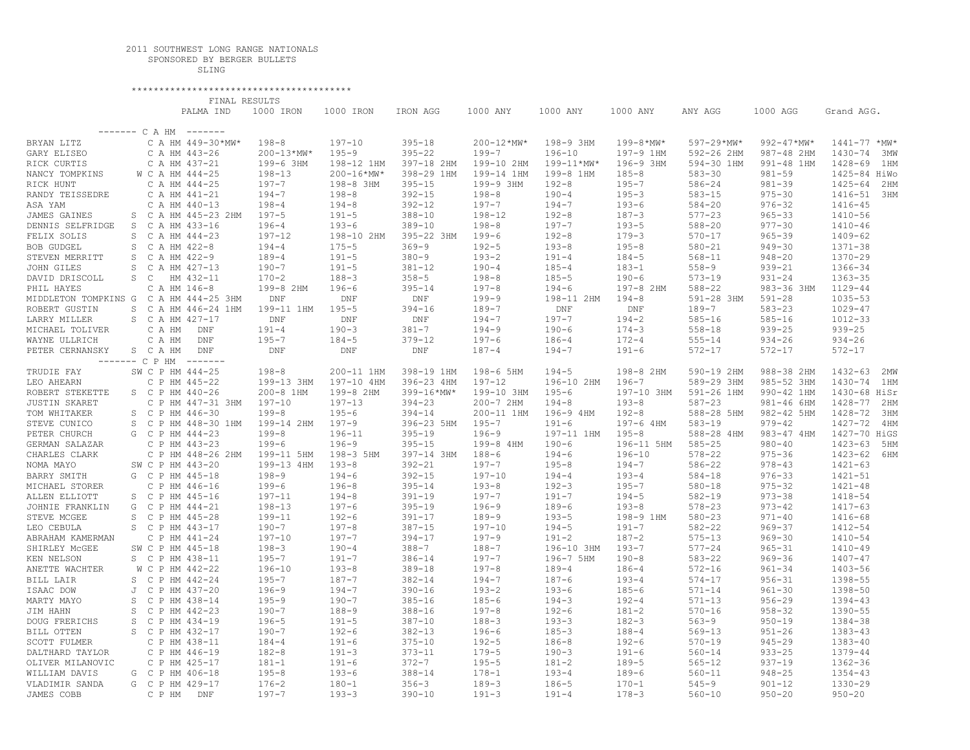## 2011 SOUTHWEST LONG RANGE NATIONALS

 SPONSORED BY BERGER BULLETS SLING

 \*\*\*\*\*\*\*\*\*\*\*\*\*\*\*\*\*\*\*\*\*\*\*\*\*\*\*\*\*\*\*\*\*\*\*\*\*\*\*\* FINAL RESULTS

|                                        |                   | PALMA IND         | 1000 IRON      | 1000 IRON      | IRON AGG           | 1000 ANY   | 1000 ANY   | 1000 ANY       | ANY AGG    | 1000 AGG        | Grand AGG.         |
|----------------------------------------|-------------------|-------------------|----------------|----------------|--------------------|------------|------------|----------------|------------|-----------------|--------------------|
|                                        |                   |                   |                |                |                    |            |            |                |            |                 |                    |
| $------C A HM$<br>--------             |                   |                   |                |                |                    |            |            |                |            |                 |                    |
| BRYAN LITZ                             |                   | C A HM 449-30*MW* | $198 - 8$      | $197 - 10$     | $395 - 18$         | 200-12*MW* | 198-9 3HM  | $199 - 8$ *MW* | 597-29*MW* | $992 - 47$ *MW* | $1441 - 77$ *MW*   |
| GARY ELISEO                            |                   | C A HM 443-26     | $200 - 13*MW*$ | $195 - 9$      | $395 - 22$         | $199 - 7$  | $196 - 10$ | 197-9 1HM      | 592-26 2HM | 987-48 2HM      | $1430 - 74$<br>3MW |
| RICK CURTIS                            |                   | C A HM 437-21     | 199-6 3HM      | 198-12 1HM     | 397-18 2HM         | 199-10 2HM | 199-11*MW* | 196-9 3HM      | 594-30 1HM | 991-48 1HM      | 1428-69<br>1 HM    |
| NANCY TOMPKINS                         |                   | W C A HM 444-25   | $198 - 13$     | $200 - 16*MW*$ | 398-29 1HM         | 199-14 1HM | 199-8 1HM  | $185 - 8$      | $583 - 30$ | $981 - 59$      | 1425-84 HiWo       |
| RICK HUNT                              |                   | C A HM 444-25     | $197 - 7$      | 198-8 3HM      | $395 - 15$         | 199-9 3HM  | $192 - 8$  | $195 - 7$      | $586 - 24$ | $981 - 39$      | $1425 - 64$<br>2HM |
| RANDY TEISSEDRE                        |                   | C A HM 441-21     | $194 - 7$      | $198 - 8$      | $392 - 15$         | $198 - 8$  | $190 - 4$  | $195 - 3$      | $583 - 15$ | $975 - 30$      | 1416-51 3HM        |
| ASA YAM                                |                   | C A HM 440-13     | $198 - 4$      | $194 - 8$      | $392 - 12$         | $197 - 7$  | $194 - 7$  | $193 - 6$      | $584 - 20$ | $976 - 32$      | 1416-45            |
| JAMES GAINES                           | S.                | C A HM 445-23 2HM | $197 - 5$      | $191 - 5$      | $388 - 10$         | $198 - 12$ | $192 - 8$  | $187 - 3$      | $577 - 23$ | $965 - 33$      | $1410 - 56$        |
| DENNIS SELFRIDGE                       | S                 | C A HM 433-16     | $196 - 4$      | $193 - 6$      | $389 - 10$         | $198 - 8$  | $197 - 7$  | $193 - 5$      | $588 - 20$ | $977 - 30$      | $1410 - 46$        |
| FELIX SOLIS                            | S                 | C A HM 444-23     | $197 - 12$     | 198-10 2HM     | 395-22 3HM         | $199 - 6$  | $192 - 8$  | $179 - 3$      | $570 - 17$ | $965 - 39$      | $1409 - 62$        |
| <b>BOB GUDGEL</b>                      | S                 | C A HM 422-8      | $194 - 4$      | $175 - 5$      | $369 - 9$          | $192 - 5$  | $193 - 8$  | $195 - 8$      | $580 - 21$ | $949 - 30$      | $1371 - 38$        |
| STEVEN MERRITT                         | S                 | C A HM 422-9      | $189 - 4$      | $191 - 5$      | $380 - 9$          | $193 - 2$  | $191 - 4$  | $184 - 5$      | $568 - 11$ | $948 - 20$      | $1370 - 29$        |
| JOHN GILES                             | S                 | C A HM 427-13     | $190 - 7$      | $191 - 5$      | $381 - 12$         | $190 - 4$  | $185 - 4$  | $183 - 1$      | $558 - 9$  | $939 - 21$      | 1366-34            |
| DAVID DRISCOLL                         | S<br>$\mathbb{C}$ | HM 432-11         | $170 - 2$      | $188 - 3$      | $358 - 5$          | $198 - 8$  | $185 - 5$  | $190 - 6$      | $573 - 19$ | $931 - 24$      | $1363 - 35$        |
| PHIL HAYES                             |                   | C A HM 146-8      | 199-8 2HM      | $196 - 6$      | $395 - 14$         | $197 - 8$  | $194 - 6$  | 197-8 2HM      | $588 - 22$ | 983-36 3HM      | $1129 - 44$        |
| MIDDLETON TOMPKINS G C A HM 444-25 3HM |                   |                   | <b>DNF</b>     | <b>DNF</b>     | <b>DNF</b>         | $199 - 9$  | 198-11 2HM | $194 - 8$      | 591-28 3HM | $591 - 28$      | $1035 - 53$        |
| ROBERT GUSTIN                          | S                 | C A HM 446-24 1HM | 199-11 1HM     | $195 - 5$      | $394 - 16$         | $189 - 7$  | <b>DNF</b> | <b>DNF</b>     | $189 - 7$  | $583 - 23$      | $1029 - 47$        |
| LARRY MILLER                           | S                 | C A HM 427-17     | <b>DNF</b>     | <b>DNF</b>     | $\mathop{\rm DNF}$ | $194 - 7$  | $197 - 7$  | $194 - 2$      | $585 - 16$ | $585 - 16$      | $1012 - 33$        |
| MICHAEL TOLIVER                        | C A HM            | <b>DNF</b>        | $191 - 4$      | $190 - 3$      | $381 - 7$          | $194 - 9$  | $190 - 6$  | $174 - 3$      | $558 - 18$ | $939 - 25$      | $939 - 25$         |
| WAYNE ULLRICH                          | C A HM            | $\texttt{DNF}$    | $195 - 7$      | $184 - 5$      | $379 - 12$         | $197 - 6$  | $186 - 4$  | $172 - 4$      | $555 - 14$ | $934 - 26$      | $934 - 26$         |
| PETER CERNANSKY                        | S C A HM          | <b>DNF</b>        | <b>DNF</b>     | <b>DNF</b>     | <b>DNF</b>         | $187 - 4$  | $194 - 7$  | $191 - 6$      | $572 - 17$ | $572 - 17$      | $572 - 17$         |
|                                        | ------- C P HM    | --------          |                |                |                    |            |            |                |            |                 |                    |
| TRUDIE FAY                             |                   | SW C P HM 444-25  | $198 - 8$      | 200-11 1HM     | 398-19 1HM         | 198-6 5HM  | $194 - 5$  | 198-8 2HM      | 590-19 2HM | 988-38 2HM      | $1432 - 63$<br>2MW |
| LEO AHEARN                             |                   | C P HM 445-22     | 199-13 3HM     | 197-10 4HM     | 396-23 4HM         | $197 - 12$ | 196-10 2HM | $196 - 7$      | 589-29 3HM | 985-52 3HM      | 1430-74<br>1 HM    |
| ROBERT STEKETTE                        |                   | S C P HM 440-26   | 200-8 1HM      | 199-8 2HM      | 399-16*MW*         | 199-10 3HM | $195 - 6$  | 197-10 3HM     | 591-26 1HM | 990-42 1HM      | 1430-68 HiSr       |
| <b>JUSTIN SKARET</b>                   |                   | C P HM 447-31 3HM | $197 - 10$     | $197 - 13$     | $394 - 23$         | 200-7 2HM  | $194 - 8$  | $193 - 8$      | $587 - 23$ | 981-46 6HM      | 1428-77<br>2 HM    |
| TOM WHITAKER                           | S                 | C P HM 446-30     | $199 - 8$      | $195 - 6$      | $394 - 14$         | 200-11 1HM | 196-9 4HM  | $192 - 8$      | 588-28 5HM | 982-42 5HM      | 1428-72<br>ЗНМ     |
| STEVE CUNICO                           | S                 | C P HM 448-30 1HM | 199-14 2HM     | $197 - 9$      | 396-23 5HM         | $195 - 7$  | $191 - 6$  | 197-6 4HM      | $583 - 19$ | $979 - 42$      | 1427-72<br>4 HM    |
| PETER CHURCH                           | G                 | C P HM 444-23     | $199 - 8$      | $196 - 11$     | $395 - 19$         | $196 - 9$  | 197-11 1HM | $195 - 8$      | 588-28 4HM | 983-47 4HM      | 1427-70 HiGS       |
| GERMAN SALAZAR                         |                   | C P HM 443-23     | $199 - 6$      | $196 - 9$      | $395 - 15$         | 199-8 4HM  | $190 - 6$  | 196-11 5HM     | $585 - 25$ | $980 - 40$      | $1423 - 63$<br>5HM |
| CHARLES CLARK                          |                   | C P HM 448-26 2HM | 199-11 5HM     | 198-3 5HM      | 397-14 3HM         | $188 - 6$  | $194 - 6$  | $196 - 10$     | $578 - 22$ | $975 - 36$      | $1423 - 62$<br>6HM |
| NOMA MAYO                              |                   | SW C P HM 443-20  | 199-13 4HM     | $193 - 8$      | $392 - 21$         | $197 - 7$  | $195 - 8$  | $194 - 7$      | $586 - 22$ | $978 - 43$      | $1421 - 63$        |
| BARRY SMITH                            | G                 | C P HM 445-18     | $198 - 9$      | $194 - 6$      | $392 - 15$         | $197 - 10$ | $194 - 4$  | $193 - 4$      | $584 - 18$ | $976 - 33$      | $1421 - 51$        |
| MICHAEL STORER                         |                   | C P HM 446-16     | $199 - 6$      | $196 - 8$      | $395 - 14$         | $193 - 8$  | $192 - 3$  | $195 - 7$      | $580 - 18$ | $975 - 32$      | $1421 - 48$        |
| ALLEN ELLIOTT                          | S.                | C P HM 445-16     | $197 - 11$     | $194 - 8$      | $391 - 19$         | $197 - 7$  | $191 - 7$  | $194 - 5$      | $582 - 19$ | $973 - 38$      | 1418-54            |
| JOHNIE FRANKLIN                        | G                 | C P HM 444-21     | $198 - 13$     | $197 - 6$      | $395 - 19$         | $196 - 9$  | $189 - 6$  | $193 - 8$      | $578 - 23$ | $973 - 42$      | $1417 - 63$        |
| STEVE MCGEE                            | S                 | C P HM 445-28     | 199-11         | $192 - 6$      | $391 - 17$         | $189 - 9$  | $193 - 5$  | 198-9 1HM      | $580 - 23$ | $971 - 40$      | $1416 - 68$        |
| LEO CEBULA                             | S                 | C P HM 443-17     | $190 - 7$      | $197 - 8$      | $387 - 15$         | $197 - 10$ | $194 - 5$  | $191 - 7$      | $582 - 22$ | $969 - 37$      | 1412-54            |
| ABRAHAM KAMERMAN                       |                   | C P HM 441-24     | $197 - 10$     | $197 - 7$      | $394 - 17$         | $197 - 9$  | $191 - 2$  | $187 - 2$      | $575 - 13$ | $969 - 30$      | $1410 - 54$        |
| SHIRLEY MCGEE                          |                   | SW C P HM 445-18  | $198 - 3$      | $190 - 4$      | $388 - 7$          | $188 - 7$  | 196-10 3HM | $193 - 7$      | $577 - 24$ | $965 - 31$      | $1410 - 49$        |
| KEN NELSON                             |                   | S C P HM 438-11   | $195 - 7$      | $191 - 7$      | $386 - 14$         | $197 - 7$  | 196-7 5HM  | $190 - 8$      | $583 - 22$ | $969 - 36$      | $1407 - 47$        |
| ANETTE WACHTER                         |                   | W C P HM 442-22   | $196 - 10$     | $193 - 8$      | $389 - 18$         | $197 - 8$  | $189 - 4$  | $186 - 4$      | $572 - 16$ | $961 - 34$      | $1403 - 56$        |
| BILL LAIR                              | S                 | C P HM 442-24     | $195 - 7$      | $187 - 7$      | $382 - 14$         | $194 - 7$  | $187 - 6$  | $193 - 4$      | $574 - 17$ | $956 - 31$      | 1398-55            |
| ISAAC DOW                              | J                 | C P HM 437-20     | $196 - 9$      | $194 - 7$      | $390 - 16$         | $193 - 2$  | $193 - 6$  | $185 - 6$      | $571 - 14$ | $961 - 30$      | 1398-50            |
| MARTY MAYO                             | S                 | C P HM 438-14     | $195 - 9$      | $190 - 7$      | $385 - 16$         | $185 - 6$  | $194 - 3$  | $192 - 4$      | $571 - 13$ | $956 - 29$      | $1394 - 43$        |
| JIM HAHN                               | S                 | C P HM 442-23     | $190 - 7$      | $188 - 9$      | $388 - 16$         | $197 - 8$  | $192 - 6$  | $181 - 2$      | $570 - 16$ | $958 - 32$      | $1390 - 55$        |
| DOUG FRERICHS                          | S                 | C P HM 434-19     | $196 - 5$      | $191 - 5$      | $387 - 10$         | $188 - 3$  | $193 - 3$  | $182 - 3$      | $563 - 9$  | $950 - 19$      | 1384-38            |
| BILL OTTEN                             | S                 | C P HM 432-17     | $190 - 7$      | $192 - 6$      | $382 - 13$         | $196 - 6$  | $185 - 3$  | $188 - 4$      | $569 - 13$ | $951 - 26$      | $1383 - 43$        |
| <b>SCOTT FULMER</b>                    |                   | C P HM 438-11     | $184 - 4$      | $191 - 6$      | $375 - 10$         | $192 - 5$  | $186 - 8$  | $192 - 6$      | $570 - 19$ | $945 - 29$      | $1383 - 40$        |
| DALTHARD TAYLOR                        |                   | C P HM 446-19     | $182 - 8$      | $191 - 3$      | $373 - 11$         | $179 - 5$  | $190 - 3$  | $191 - 6$      | $560 - 14$ | $933 - 25$      | 1379-44            |
| OLIVER MILANOVIC                       |                   | C P HM 425-17     | $181 - 1$      | $191 - 6$      | $372 - 7$          | $195 - 5$  | $181 - 2$  | $189 - 5$      | $565 - 12$ | $937 - 19$      | $1362 - 36$        |
| WILLIAM DAVIS                          | G                 | C P HM 406-18     | $195 - 8$      | $193 - 6$      | $388 - 14$         | $178 - 1$  | $193 - 4$  | $189 - 6$      | $560 - 11$ | $948 - 25$      | $1354 - 43$        |
| VLADIMIR SANDA                         | G                 | C P HM 429-17     | $176 - 2$      | $180 - 1$      | $356 - 3$          | $189 - 3$  | $186 - 5$  | $170 - 1$      | $545 - 9$  | $901 - 12$      | 1330-29            |
| JAMES COBB                             | C P HM            | DNF               | $197 - 7$      | $193 - 3$      | $390 - 10$         | $191 - 3$  | $191 - 4$  | $178 - 3$      | $560 - 10$ | $950 - 20$      | $950 - 20$         |